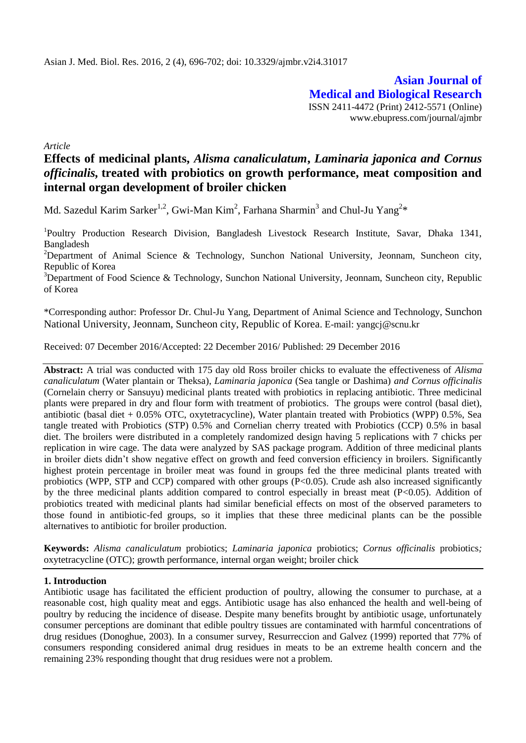**Asian Journal of Medical and Biological Research** ISSN 2411-4472 (Print) 2412-5571 (Online) www.ebupress.com/journal/ajmbr

*Article*

# **Effects of medicinal plants,** *Alisma canaliculatum***,** *Laminaria japonica and Cornus officinalis,* **treated with probiotics on growth performance, meat composition and internal organ development of broiler chicken**

Md. Sazedul Karim Sarker<sup>1,2</sup>, Gwi-Man Kim<sup>2</sup>, Farhana Sharmin<sup>3</sup> and Chul-Ju Yang<sup>2\*</sup>

<sup>1</sup>Poultry Production Research Division, Bangladesh Livestock Research Institute, Savar, Dhaka 1341, Bangladesh

<sup>2</sup>Department of Animal Science & Technology, Sunchon National University, Jeonnam, Suncheon city, Republic of Korea

<sup>3</sup>Department of Food Science & Technology, Sunchon National University, Jeonnam, Suncheon city, Republic of Korea

\*Corresponding author: Professor Dr. Chul-Ju Yang, Department of Animal Science and Technology, Sunchon National University, Jeonnam, Suncheon city, Republic of Korea. E-mail: yangcj@scnu.kr

Received: 07 December 2016/Accepted: 22 December 2016/ Published: 29 December 2016

**Abstract:** A trial was conducted with 175 day old Ross broiler chicks to evaluate the effectiveness of *Alisma canaliculatum* (Water plantain or Theksa), *Laminaria japonica* (Sea tangle or Dashima) *and Cornus officinalis*  (Cornelain cherry or Sansuyu) medicinal plants treated with probiotics in replacing antibiotic. Three medicinal plants were prepared in dry and flour form with treatment of probiotics. The groups were control (basal diet), antibiotic (basal diet + 0.05% OTC, oxytetracycline), Water plantain treated with Probiotics (WPP) 0.5%, Sea tangle treated with Probiotics (STP) 0.5% and Cornelian cherry treated with Probiotics (CCP) 0.5% in basal diet. The broilers were distributed in a completely randomized design having 5 replications with 7 chicks per replication in wire cage. The data were analyzed by SAS package program. Addition of three medicinal plants in broiler diets didn't show negative effect on growth and feed conversion efficiency in broilers. Significantly highest protein percentage in broiler meat was found in groups fed the three medicinal plants treated with probiotics (WPP, STP and CCP) compared with other groups (P<0.05). Crude ash also increased significantly by the three medicinal plants addition compared to control especially in breast meat (P<0.05). Addition of probiotics treated with medicinal plants had similar beneficial effects on most of the observed parameters to those found in antibiotic-fed groups, so it implies that these three medicinal plants can be the possible alternatives to antibiotic for broiler production.

**Keywords:** *Alisma canaliculatum* probiotics; *Laminaria japonica* probiotics; *Cornus officinalis* probiotics*;*  oxytetracycline (OTC); growth performance, internal organ weight; broiler chick

#### **1. Introduction**

Antibiotic usage has facilitated the efficient production of poultry, allowing the consumer to purchase, at a reasonable cost, high quality meat and eggs. Antibiotic usage has also enhanced the health and well-being of poultry by reducing the incidence of disease. Despite many benefits brought by antibiotic usage, unfortunately consumer perceptions are dominant that edible poultry tissues are contaminated with harmful concentrations of drug residues (Donoghue, 2003). In a consumer survey, Resurreccion and Galvez (1999) reported that 77% of consumers responding considered animal drug residues in meats to be an extreme health concern and the remaining 23% responding thought that drug residues were not a problem.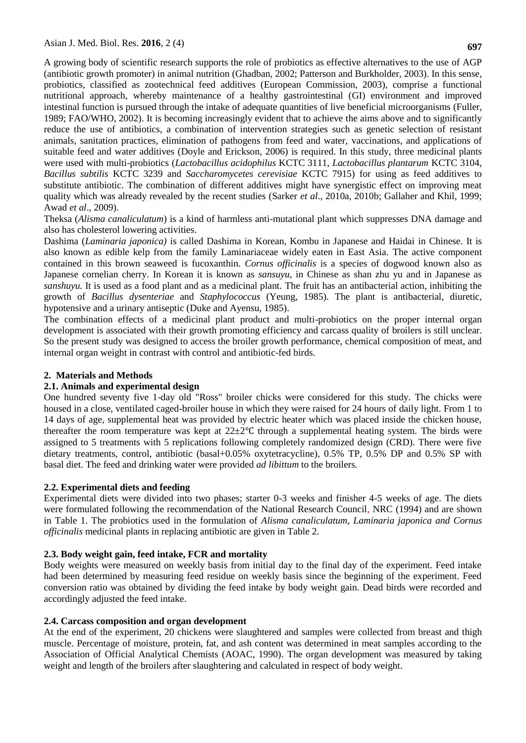A growing body of scientific research supports the role of probiotics as effective alternatives to the use of AGP (antibiotic growth promoter) in animal nutrition (Ghadban, 2002; Patterson and Burkholder, 2003). In this sense, probiotics, classified as zootechnical feed additives (European Commission, 2003), comprise a functional nutritional approach, whereby maintenance of a healthy gastrointestinal (GI) environment and improved intestinal function is pursued through the intake of adequate quantities of live beneficial microorganisms (Fuller, 1989; FAO/WHO, 2002). It is becoming increasingly evident that to achieve the aims above and to significantly reduce the use of antibiotics, a combination of intervention strategies such as genetic selection of resistant animals, sanitation practices, elimination of pathogens from feed and water, vaccinations, and applications of suitable feed and water additives (Doyle and Erickson, 2006) is required. In this study, three medicinal plants were used with multi-probiotics (*Lactobacillus acidophilus* KCTC 3111, *Lactobacillus plantarum* KCTC 3104, *Bacillus subtilis* KCTC 3239 and *Saccharomycetes cerevisiae* KCTC 7915) for using as feed additives to substitute antibiotic. The combination of different additives might have synergistic effect on improving meat quality which was already revealed by the recent studies (Sarker *et al*., 2010a, 2010b; Gallaher and Khil, 1999; Awad *et al*., 2009).

Theksa (*Alisma canaliculatum*) is a kind of harmless anti-mutational plant which suppresses DNA damage and also has cholesterol lowering activities.

Dashima (*Laminaria japonica)* is called Dashima in Korean, Kombu in Japanese and Haidai in Chinese. It is also known as edible kelp from the family Laminariaceae widely eaten in East Asia. The active component contained in this brown seaweed is fucoxanthin. *Cornus officinalis* is a species of dogwood known also as Japanese cornelian cherry. In Korean it is known as *sansuyu*, in Chinese as shan zhu yu and in Japanese as *sanshuyu.* It is used as a food plant and as a medicinal plant. The fruit has an antibacterial action, inhibiting the growth of *Bacillus dysenteriae* and *Staphylococcus* (Yeung, 1985). The plant is antibacterial, diuretic, hypotensive and a urinary antiseptic (Duke and Ayensu, 1985).

The combination effects of a medicinal plant product and multi-probiotics on the proper internal organ development is associated with their growth promoting efficiency and carcass quality of broilers is still unclear. So the present study was designed to access the broiler growth performance, chemical composition of meat, and internal organ weight in contrast with control and antibiotic-fed birds.

### **2. Materials and Methods**

#### **2.1. Animals and experimental design**

One hundred seventy five 1-day old "Ross" broiler chicks were considered for this study. The chicks were housed in a close, ventilated caged-broiler house in which they were raised for 24 hours of daily light. From 1 to 14 days of age, supplemental heat was provided by electric heater which was placed inside the chicken house, thereafter the room temperature was kept at  $22\pm2^{\circ}C$  through a supplemental heating system. The birds were assigned to 5 treatments with 5 replications following completely randomized design (CRD). There were five dietary treatments, control, antibiotic (basal+0.05% oxytetracycline), 0.5% TP, 0.5% DP and 0.5% SP with basal diet. The feed and drinking water were provided *ad libittum* to the broilers*.* 

#### **2.2. Experimental diets and feeding**

Experimental diets were divided into two phases; starter 0-3 weeks and finisher 4-5 weeks of age. The diets were formulated following the recommendation of the National Research Council, NRC (1994) and are shown in Table 1. The probiotics used in the formulation of *Alisma canaliculatum*, *Laminaria japonica and Cornus officinalis* medicinal plants in replacing antibiotic are given in Table 2.

#### **2.3. Body weight gain, feed intake, FCR and mortality**

Body weights were measured on weekly basis from initial day to the final day of the experiment. Feed intake had been determined by measuring feed residue on weekly basis since the beginning of the experiment. Feed conversion ratio was obtained by dividing the feed intake by body weight gain. Dead birds were recorded and accordingly adjusted the feed intake.

#### **2.4. Carcass composition and organ development**

At the end of the experiment, 20 chickens were slaughtered and samples were collected from breast and thigh muscle. Percentage of moisture, protein, fat, and ash content was determined in meat samples according to the Association of Official Analytical Chemists (AOAC, 1990). The organ development was measured by taking weight and length of the broilers after slaughtering and calculated in respect of body weight.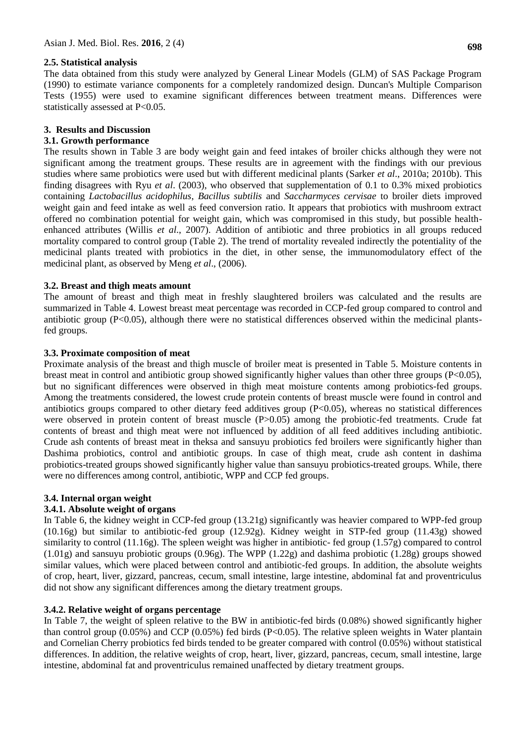## **2.5. Statistical analysis**

The data obtained from this study were analyzed by General Linear Models (GLM) of SAS Package Program (1990) to estimate variance components for a completely randomized design. Duncan's Multiple Comparison Tests (1955) were used to examine significant differences between treatment means. Differences were statistically assessed at P<0.05.

# **3. Results and Discussion**

### **3.1. Growth performance**

The results shown in Table 3 are body weight gain and feed intakes of broiler chicks although they were not significant among the treatment groups. These results are in agreement with the findings with our previous studies where same probiotics were used but with different medicinal plants (Sarker *et al*., 2010a; 2010b). This finding disagrees with Ryu *et al*. (2003), who observed that supplementation of 0.1 to 0.3% mixed probiotics containing *Lactobacillus acidophilus*, *Bacillus subtilis* and *Saccharmyces cervisae* to broiler diets improved weight gain and feed intake as well as feed conversion ratio. It appears that probiotics with mushroom extract offered no combination potential for weight gain, which was compromised in this study, but possible healthenhanced attributes (Willis *et al*., 2007). Addition of antibiotic and three probiotics in all groups reduced mortality compared to control group (Table 2). The trend of mortality revealed indirectly the potentiality of the medicinal plants treated with probiotics in the diet, in other sense, the immunomodulatory effect of the medicinal plant, as observed by Meng *et al*., (2006).

#### **3.2. Breast and thigh meats amount**

The amount of breast and thigh meat in freshly slaughtered broilers was calculated and the results are summarized in Table 4. Lowest breast meat percentage was recorded in CCP-fed group compared to control and antibiotic group (P<0.05), although there were no statistical differences observed within the medicinal plantsfed groups.

#### **3.3. Proximate composition of meat**

Proximate analysis of the breast and thigh muscle of broiler meat is presented in Table 5. Moisture contents in breast meat in control and antibiotic group showed significantly higher values than other three groups  $(P<0.05)$ , but no significant differences were observed in thigh meat moisture contents among probiotics-fed groups. Among the treatments considered, the lowest crude protein contents of breast muscle were found in control and antibiotics groups compared to other dietary feed additives group (P<0.05), whereas no statistical differences were observed in protein content of breast muscle (P>0.05) among the probiotic-fed treatments. Crude fat contents of breast and thigh meat were not influenced by addition of all feed additives including antibiotic. Crude ash contents of breast meat in theksa and sansuyu probiotics fed broilers were significantly higher than Dashima probiotics, control and antibiotic groups. In case of thigh meat, crude ash content in dashima probiotics-treated groups showed significantly higher value than sansuyu probiotics-treated groups. While, there were no differences among control, antibiotic, WPP and CCP fed groups.

## **3.4. Internal organ weight**

#### **3.4.1. Absolute weight of organs**

In Table 6, the kidney weight in CCP-fed group (13.21g) significantly was heavier compared to WPP-fed group (10.16g) but similar to antibiotic-fed group (12.92g). Kidney weight in STP-fed group (11.43g) showed similarity to control (11.16g). The spleen weight was higher in antibiotic- fed group (1.57g) compared to control (1.01g) and sansuyu probiotic groups (0.96g). The WPP (1.22g) and dashima probiotic (1.28g) groups showed similar values, which were placed between control and antibiotic-fed groups. In addition, the absolute weights of crop, heart, liver, gizzard, pancreas, cecum, small intestine, large intestine, abdominal fat and proventriculus did not show any significant differences among the dietary treatment groups.

#### **3.4.2. Relative weight of organs percentage**

In Table 7, the weight of spleen relative to the BW in antibiotic-fed birds (0.08%) showed significantly higher than control group (0.05%) and CCP (0.05%) fed birds (P<0.05). The relative spleen weights in Water plantain and Cornelian Cherry probiotics fed birds tended to be greater compared with control (0.05%) without statistical differences. In addition, the relative weights of crop, heart, liver, gizzard, pancreas, cecum, small intestine, large intestine, abdominal fat and proventriculus remained unaffected by dietary treatment groups.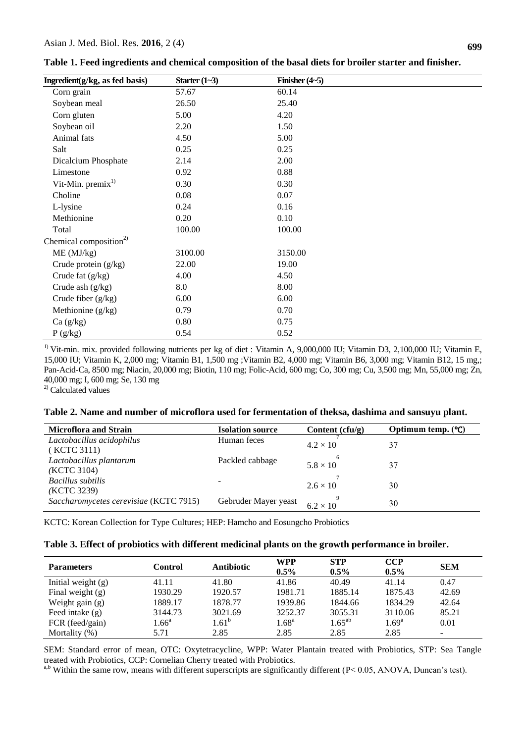| Ingredient(g/kg, as fed basis)     | Starter $(1-3)$ | Finisher $(4-5)$ |  |
|------------------------------------|-----------------|------------------|--|
| Corn grain                         | 57.67           | 60.14            |  |
| Soybean meal                       | 26.50           | 25.40            |  |
| Corn gluten                        | 5.00            | 4.20             |  |
|                                    |                 |                  |  |
| Soybean oil                        | 2.20            | 1.50             |  |
| Animal fats                        | 4.50            | 5.00             |  |
| Salt                               | 0.25            | 0.25             |  |
| Dicalcium Phosphate                | 2.14            | 2.00             |  |
| Limestone                          | 0.92            | 0.88             |  |
| Vit-Min. $premix1$                 | 0.30            | 0.30             |  |
| Choline                            | 0.08            | 0.07             |  |
| L-lysine                           | 0.24            | 0.16             |  |
| Methionine                         | 0.20            | 0.10             |  |
| Total                              | 100.00          | 100.00           |  |
| Chemical composition <sup>2)</sup> |                 |                  |  |
| ME (MJ/kg)                         | 3100.00         | 3150.00          |  |
| Crude protein $(g/kg)$             | 22.00           | 19.00            |  |
| Crude fat $(g/kg)$                 | 4.00            | 4.50             |  |
| Crude ash $(g/kg)$                 | 8.0             | 8.00             |  |
| Crude fiber (g/kg)                 | 6.00            | 6.00             |  |
| Methionine (g/kg)                  | 0.79            | 0.70             |  |
| Ca (g/kg)                          | 0.80            | 0.75             |  |
| P(g/kg)                            | 0.54            | 0.52             |  |

|  |  | Table 1. Feed ingredients and chemical composition of the basal diets for broiler starter and finisher. |  |  |  |  |  |
|--|--|---------------------------------------------------------------------------------------------------------|--|--|--|--|--|
|  |  |                                                                                                         |  |  |  |  |  |

<sup>1)</sup> Vit-min. mix. provided following nutrients per kg of diet : Vitamin A, 9,000,000 IU; Vitamin D3, 2,100,000 IU; Vitamin E, 15,000 IU; Vitamin K, 2,000 mg; Vitamin B1, 1,500 mg ;Vitamin B2, 4,000 mg; Vitamin B6, 3,000 mg; Vitamin B12, 15 mg,; Pan-Acid-Ca, 8500 mg; Niacin, 20,000 mg; Biotin, 110 mg; Folic-Acid, 600 mg; Co, 300 mg; Cu, 3,500 mg; Mn, 55,000 mg; Zn, 40,000 mg; I, 600 mg; Se, 130 mg

<sup>2)</sup> Calculated values

|  | Table 2. Name and number of microflora used for fermentation of theksa, dashima and sansuyu plant. |  |  |
|--|----------------------------------------------------------------------------------------------------|--|--|
|--|----------------------------------------------------------------------------------------------------|--|--|

| <b>Microflora and Strain</b>             | <b>Isolation source</b> | Content $(cfu/g)$    | Optimum temp. $(C)$ |
|------------------------------------------|-------------------------|----------------------|---------------------|
| Lactobacillus acidophilus<br>(KCTC 3111) | Human feces             | $4.2 \times 10$      | 37                  |
| Lactobacillus plantarum<br>(KCTC 3104)   | Packled cabbage         | 6<br>$5.8 \times 10$ | 37                  |
| <b>Bacillus</b> subtilis<br>(KCTC 3239)  |                         | $2.6 \times 10$      | 30                  |
| Saccharomycetes cerevisiae (KCTC 7915)   | Gebruder Mayer yeast    | $6.2 \times 10^7$    | 30                  |

KCTC: Korean Collection for Type Cultures; HEP: Hamcho and Eosungcho Probiotics

|  | Table 3. Effect of probiotics with different medicinal plants on the growth performance in broiler. |  |  |
|--|-----------------------------------------------------------------------------------------------------|--|--|
|--|-----------------------------------------------------------------------------------------------------|--|--|

| <b>Parameters</b>    | Control        | <b>Antibiotic</b> | WPP<br>$0.5\%$ | <b>STP</b><br>$0.5\%$ | <b>CCP</b><br>$0.5\%$ | <b>SEM</b>               |
|----------------------|----------------|-------------------|----------------|-----------------------|-----------------------|--------------------------|
| Initial weight $(g)$ | 41.11          | 41.80             | 41.86          | 40.49                 | 41.14                 | 0.47                     |
| Final weight $(g)$   | 1930.29        | 1920.57           | 1981.71        | 1885.14               | 1875.43               | 42.69                    |
| Weight gain $(g)$    | 1889.17        | 1878.77           | 1939.86        | 1844.66               | 1834.29               | 42.64                    |
| Feed intake $(g)$    | 3144.73        | 3021.69           | 3252.37        | 3055.31               | 3110.06               | 85.21                    |
| FCR (feed/gain)      | $1.66^{\rm a}$ | $1.61^{\rm b}$    | $1.68^{\rm a}$ | $1.65^{ab}$           | $1.69^{\rm a}$        | 0.01                     |
| Mortality $(\%)$     | 5.71           | 2.85              | 2.85           | 2.85                  | 2.85                  | $\overline{\phantom{a}}$ |

SEM: Standard error of mean, OTC: Oxytetracycline, WPP: Water Plantain treated with Probiotics, STP: Sea Tangle treated with Probiotics, CCP: Cornelian Cherry treated with Probiotics.

 $a$ ,b Within the same row, means with different superscripts are significantly different (P< 0.05, ANOVA, Duncan's test).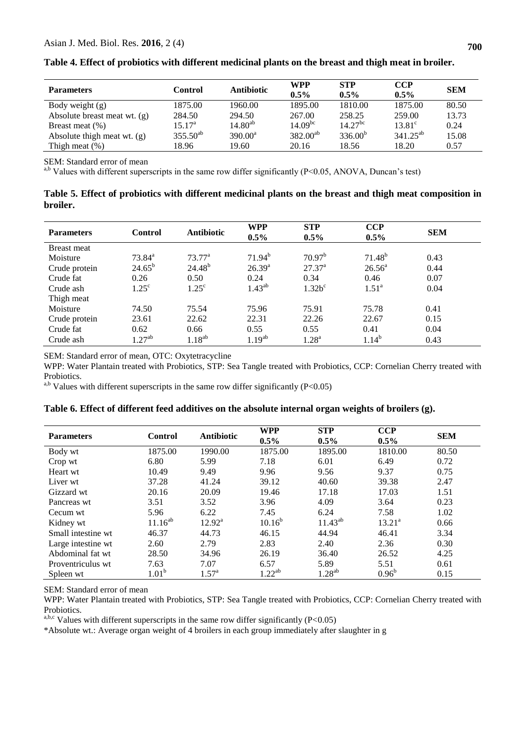| <b>Parameters</b>             | Control         | <b>Antibiotic</b> | WPP<br>$0.5\%$ | <b>STP</b><br>$0.5\%$ | <b>CCP</b><br>$0.5\%$ | <b>SEM</b> |
|-------------------------------|-----------------|-------------------|----------------|-----------------------|-----------------------|------------|
| Body weight $(g)$             | 1875.00         | 1960.00           | 1895.00        | 1810.00               | 1875.00               | 80.50      |
| Absolute breast meat wt. (g)  | 284.50          | 294.50            | 267.00         | 258.25                | 259.00                | 13.73      |
| Breast meat $(\%)$            | $15.17^{\circ}$ | $14.80^{ab}$      | $14.09^{bc}$   | $14.27^{bc}$          | $13.81^{\circ}$       | 0.24       |
| Absolute thigh meat wt. $(g)$ | $355.50^{ab}$   | $390.00^a$        | $382.00^{ab}$  | $336.00^{b}$          | $341.25^{ab}$         | 15.08      |
| Thigh meat $(\%)$             | 18.96           | 19.60             | 20.16          | 18.56                 | 18.20                 | 0.57       |

**Table 4. Effect of probiotics with different medicinal plants on the breast and thigh meat in broiler.** 

SEM: Standard error of mean

<sup>a,b</sup> Values with different superscripts in the same row differ significantly (P<0.05, ANOVA, Duncan's test)

|          | Table 5. Effect of probiotics with different medicinal plants on the breast and thigh meat composition in |  |  |  |
|----------|-----------------------------------------------------------------------------------------------------------|--|--|--|
| broiler. |                                                                                                           |  |  |  |

| <b>Parameters</b> | <b>Control</b>  | <b>Antibiotic</b> | <b>WPP</b><br>$0.5\%$ | <b>STP</b><br>$0.5\%$ | <b>CCP</b><br>$0.5\%$ | <b>SEM</b> |
|-------------------|-----------------|-------------------|-----------------------|-----------------------|-----------------------|------------|
| Breast meat       |                 |                   |                       |                       |                       |            |
| Moisture          | $73.84^{\rm a}$ | $73.77^{\rm a}$   | $71.94^b$             | 70.97 <sup>b</sup>    | $71.48^{b}$           | 0.43       |
| Crude protein     | $24.65^{\rm b}$ | $24.48^{b}$       | $26.39^{a}$           | $27.37^{a}$           | $26.56^{\circ}$       | 0.44       |
| Crude fat         | 0.26            | 0.50              | 0.24                  | 0.34                  | 0.46                  | 0.07       |
| Crude ash         | $1.25^{\circ}$  | $1.25^{\circ}$    | $1.43^{ab}$           | $1.32b^c$             | $1.51^{\circ}$        | 0.04       |
| Thigh meat        |                 |                   |                       |                       |                       |            |
| Moisture          | 74.50           | 75.54             | 75.96                 | 75.91                 | 75.78                 | 0.41       |
| Crude protein     | 23.61           | 22.62             | 22.31                 | 22.26                 | 22.67                 | 0.15       |
| Crude fat         | 0.62            | 0.66              | 0.55                  | 0.55                  | 0.41                  | 0.04       |
| Crude ash         | $1.27^{ab}$     | $1.18^{ab}$       | $1.19^{ab}$           | 1.28 <sup>a</sup>     | $1.14^{b}$            | 0.43       |

SEM: Standard error of mean, OTC: Oxytetracycline

WPP: Water Plantain treated with Probiotics, STP: Sea Tangle treated with Probiotics, CCP: Cornelian Cherry treated with Probiotics.

 $a$ ,b Values with different superscripts in the same row differ significantly (P<0.05)

|  | Table 6. Effect of different feed additives on the absolute internal organ weights of broilers (g). |  |  |  |  |
|--|-----------------------------------------------------------------------------------------------------|--|--|--|--|
|  |                                                                                                     |  |  |  |  |

| <b>Parameters</b>  | <b>Control</b>    | <b>Antibiotic</b>  | <b>WPP</b>  | <b>STP</b>   | <b>CCP</b>     | <b>SEM</b> |
|--------------------|-------------------|--------------------|-------------|--------------|----------------|------------|
|                    |                   |                    | $0.5\%$     | $0.5\%$      | $0.5\%$        |            |
| Body wt            | 1875.00           | 1990.00            | 1875.00     | 1895.00      | 1810.00        | 80.50      |
| Crop wt            | 6.80              | 5.99               | 7.18        | 6.01         | 6.49           | 0.72       |
| Heart wt           | 10.49             | 9.49               | 9.96        | 9.56         | 9.37           | 0.75       |
| Liver wt           | 37.28             | 41.24              | 39.12       | 40.60        | 39.38          | 2.47       |
| Gizzard wt         | 20.16             | 20.09              | 19.46       | 17.18        | 17.03          | 1.51       |
| Pancreas wt        | 3.51              | 3.52               | 3.96        | 4.09         | 3.64           | 0.23       |
| Cecum wt           | 5.96              | 6.22               | 7.45        | 6.24         | 7.58           | 1.02       |
| Kidney wt          | $11.16^{ab}$      | $12.92^{\text{a}}$ | $10.16^{b}$ | $11.43^{ab}$ | $13.21^a$      | 0.66       |
| Small intestine wt | 46.37             | 44.73              | 46.15       | 44.94        | 46.41          | 3.34       |
| Large intestine wt | 2.60              | 2.79               | 2.83        | 2.40         | 2.36           | 0.30       |
| Abdominal fat wt   | 28.50             | 34.96              | 26.19       | 36.40        | 26.52          | 4.25       |
| Proventriculus wt  | 7.63              | 7.07               | 6.57        | 5.89         | 5.51           | 0.61       |
| Spleen wt          | 1.01 <sup>b</sup> | 1.57 <sup>a</sup>  | $1.22^{ab}$ | $1.28^{ab}$  | $0.96^{\rm b}$ | 0.15       |

SEM: Standard error of mean

WPP: Water Plantain treated with Probiotics, STP: Sea Tangle treated with Probiotics, CCP: Cornelian Cherry treated with Probiotics.

 $a_{ab,c}$  Values with different superscripts in the same row differ significantly (P<0.05)

\*Absolute wt.: Average organ weight of 4 broilers in each group immediately after slaughter in g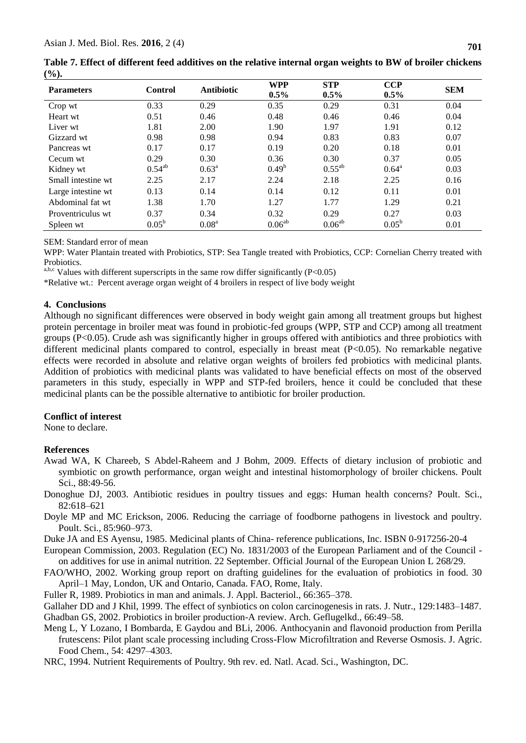| <b>Parameters</b>  | <b>Control</b> | Antibiotic        | <b>WPP</b><br>$0.5\%$ | <b>STP</b><br>$0.5\%$ | <b>CCP</b><br>$0.5\%$ | <b>SEM</b> |
|--------------------|----------------|-------------------|-----------------------|-----------------------|-----------------------|------------|
| Crop wt            | 0.33           | 0.29              | 0.35                  | 0.29                  | 0.31                  | 0.04       |
| Heart wt           | 0.51           | 0.46              | 0.48                  | 0.46                  | 0.46                  | 0.04       |
| Liver wt           | 1.81           | 2.00              | 1.90                  | 1.97                  | 1.91                  | 0.12       |
| Gizzard wt         | 0.98           | 0.98              | 0.94                  | 0.83                  | 0.83                  | 0.07       |
| Pancreas wt        | 0.17           | 0.17              | 0.19                  | 0.20                  | 0.18                  | 0.01       |
| Cecum wt           | 0.29           | 0.30              | 0.36                  | 0.30                  | 0.37                  | 0.05       |
| Kidney wt          | $0.54^{ab}$    | $0.63^{\rm a}$    | $0.49^b$              | $0.55^{ab}$           | $0.64^{\text{a}}$     | 0.03       |
| Small intestine wt | 2.25           | 2.17              | 2.24                  | 2.18                  | 2.25                  | 0.16       |
| Large intestine wt | 0.13           | 0.14              | 0.14                  | 0.12                  | 0.11                  | 0.01       |
| Abdominal fat wt   | 1.38           | 1.70              | 1.27                  | 1.77                  | 1.29                  | 0.21       |
| Proventriculus wt  | 0.37           | 0.34              | 0.32                  | 0.29                  | 0.27                  | 0.03       |
| Spleen wt          | $0.05^{\rm b}$ | 0.08 <sup>a</sup> | $0.06^{ab}$           | $0.06^{ab}$           | $0.05^{\rm b}$        | 0.01       |

**Table 7. Effect of different feed additives on the relative internal organ weights to BW of broiler chickens (%).**

SEM: Standard error of mean

WPP: Water Plantain treated with Probiotics, STP: Sea Tangle treated with Probiotics, CCP: Cornelian Cherry treated with Probiotics.

a,b,c Values with different superscripts in the same row differ significantly  $(P<0.05)$ 

\*Relative wt.: Percent average organ weight of 4 broilers in respect of live body weight

#### **4. Conclusions**

Although no significant differences were observed in body weight gain among all treatment groups but highest protein percentage in broiler meat was found in probiotic-fed groups (WPP, STP and CCP) among all treatment groups (P<0.05). Crude ash was significantly higher in groups offered with antibiotics and three probiotics with different medicinal plants compared to control, especially in breast meat  $(P<0.05)$ . No remarkable negative effects were recorded in absolute and relative organ weights of broilers fed probiotics with medicinal plants. Addition of probiotics with medicinal plants was validated to have beneficial effects on most of the observed parameters in this study, especially in WPP and STP-fed broilers, hence it could be concluded that these medicinal plants can be the possible alternative to antibiotic for broiler production.

#### **Conflict of interest**

None to declare.

#### **References**

- Awad WA, K Chareeb, S Abdel-Raheem and J Bohm, 2009. Effects of dietary inclusion of probiotic and symbiotic on growth performance, organ weight and intestinal histomorphology of broiler chickens. Poult Sci., 88:49-56.
- Donoghue DJ, 2003. Antibiotic residues in poultry tissues and eggs: Human health concerns? Poult. Sci., 82:618–621
- Doyle MP and MC Erickson, 2006. Reducing the carriage of foodborne pathogens in livestock and poultry. Poult. Sci., 85:960–973.
- Duke JA and ES Ayensu, 1985. Medicinal plants of China- reference publications, Inc. ISBN 0-917256-20-4

European Commission, 2003. Regulation (EC) No. 1831/2003 of the European Parliament and of the Council on additives for use in animal nutrition. 22 September. Official Journal of the European Union L 268/29.

FAO/WHO, 2002. Working group report on drafting guidelines for the evaluation of probiotics in food. 30 April–1 May, London, UK and Ontario, Canada. FAO, Rome, Italy.

- Fuller R, 1989. Probiotics in man and animals. J. Appl. Bacteriol., 66:365–378.
- Gallaher DD and J Khil, 1999. The effect of synbiotics on colon carcinogenesis in rats. J. Nutr., 129:1483–1487.

Ghadban GS, 2002. Probiotics in broiler production-A review. Arch. Geflugelkd., 66:49–58.

Meng L, Y Lozano, I Bombarda, E Gaydou and BLi, 2006. Anthocyanin and flavonoid production from Perilla frutescens: Pilot plant scale processing including Cross-Flow Microfiltration and Reverse Osmosis. J. Agric. Food Chem., 54: 4297–4303.

NRC, 1994. Nutrient Requirements of Poultry. 9th rev. ed. Natl. Acad. Sci., Washington, DC.